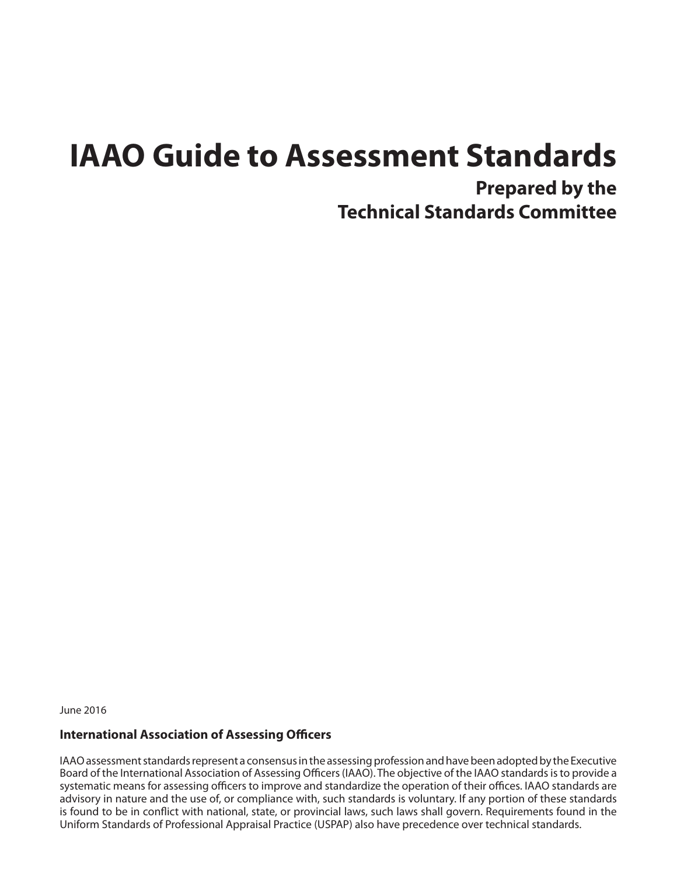# **IAAO Guide to Assessment Standards**

**Prepared by the Technical Standards Committee**

June 2016

#### **International Association of Assessing Officers**

IAAO assessment standards represent a consensus in the assessing profession and have been adopted by the Executive Board of the International Association of Assessing Officers (IAAO). The objective of the IAAO standards is to provide a systematic means for assessing officers to improve and standardize the operation of their offices. IAAO standards are advisory in nature and the use of, or compliance with, such standards is voluntary. If any portion of these standards is found to be in conflict with national, state, or provincial laws, such laws shall govern. Requirements found in the Uniform Standards of Professional Appraisal Practice (USPAP) also have precedence over technical standards.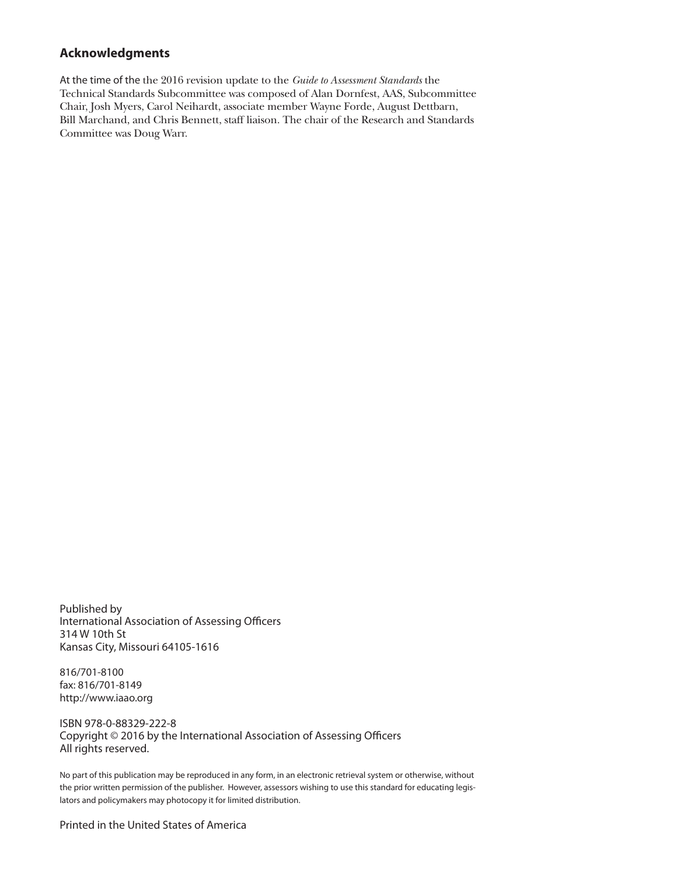#### **Acknowledgments**

At the time of the the 2016 revision update to the *Guide to Assessment Standards* the Technical Standards Subcommittee was composed of Alan Dornfest, AAS, Subcommittee Chair, Josh Myers, Carol Neihardt, associate member Wayne Forde, August Dettbarn, Bill Marchand, and Chris Bennett, staff liaison. The chair of the Research and Standards Committee was Doug Warr.

Published by International Association of Assessing Officers 314 W 10th St Kansas City, Missouri 64105-1616

816/701-8100 fax: 816/701-8149 http://www.iaao.org

ISBN 978-0-88329-222-8 Copyright © 2016 by the International Association of Assessing Officers All rights reserved.

No part of this publication may be reproduced in any form, in an electronic retrieval system or otherwise, without the prior written permission of the publisher. However, assessors wishing to use this standard for educating legislators and policymakers may photocopy it for limited distribution.

Printed in the United States of America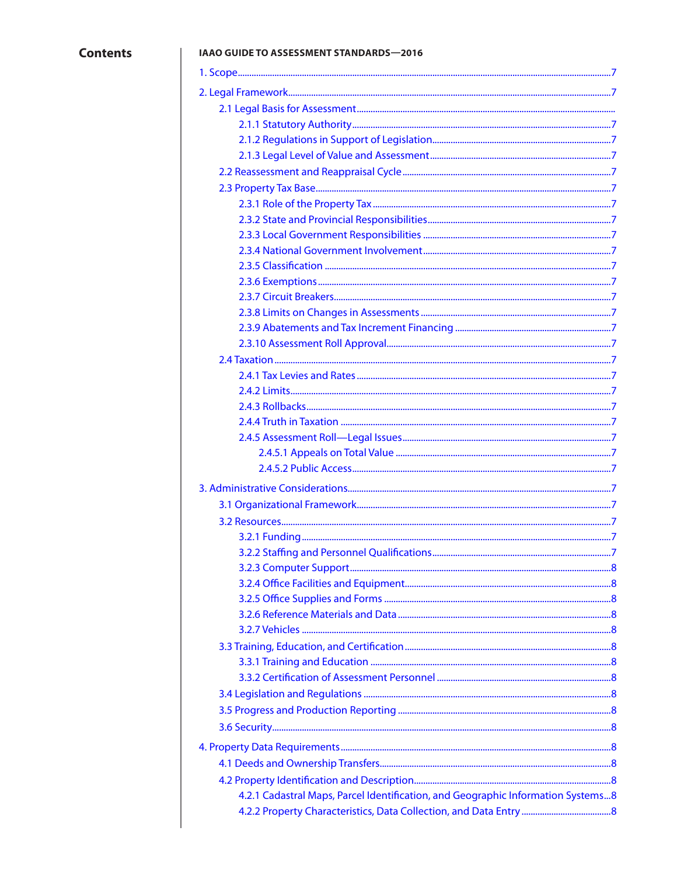$\overline{\phantom{a}}$ 

#### IAAO GUIDE TO ASSESSMENT STANDARDS-2016

| 4.2.1 Cadastral Maps, Parcel Identification, and Geographic Information Systems8 |  |
|----------------------------------------------------------------------------------|--|
|                                                                                  |  |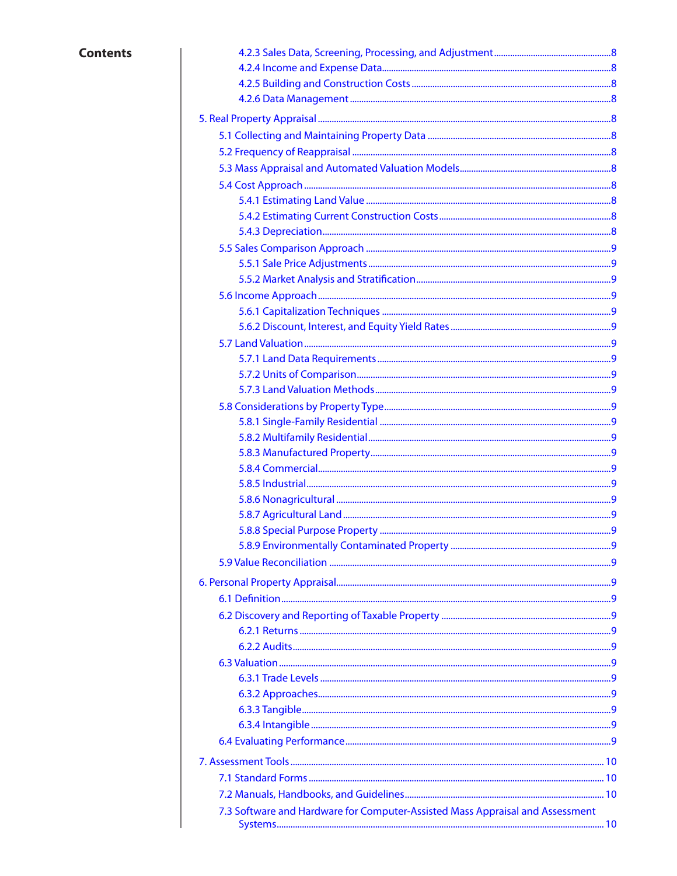### **Contents**

| 7.3 Software and Hardware for Computer-Assisted Mass Appraisal and Assessment |  |
|-------------------------------------------------------------------------------|--|
|                                                                               |  |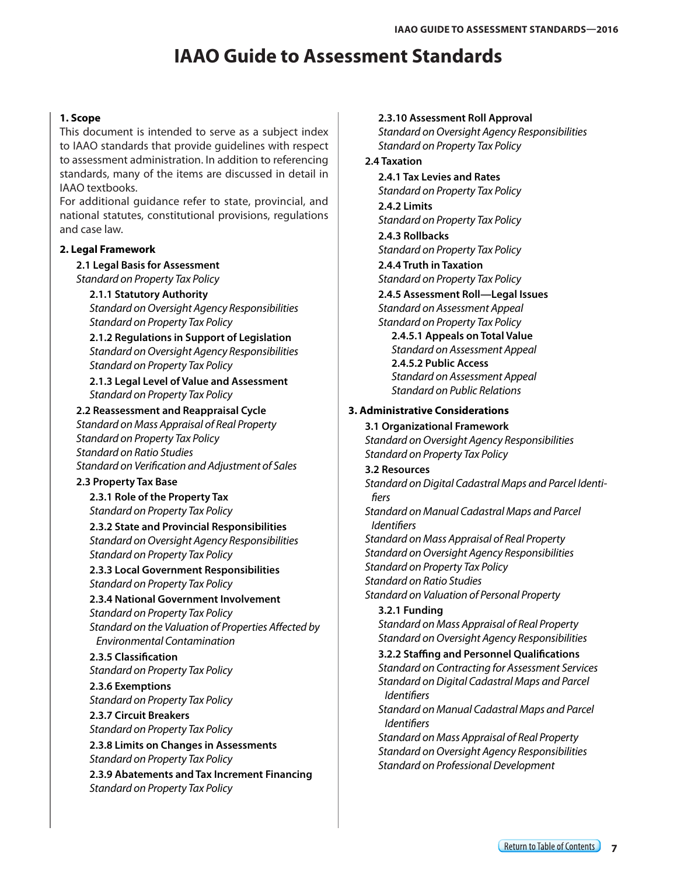# **IAAO Guide to Assessment Standards**

#### <span id="page-6-0"></span>**1. Scope**

This document is intended to serve as a subject index to IAAO standards that provide guidelines with respect to assessment administration. In addition to referencing standards, many of the items are discussed in detail in IAAO textbooks.

For additional guidance refer to state, provincial, and national statutes, constitutional provisions, regulations and case law.

#### **2. Legal Framework**

**2.1 Legal Basis for Assessment** *Standard on Property Tax Policy*

#### **2.1.1 Statutory Authority**

*Standard on Oversight Agency Responsibilities Standard on Property Tax Policy*

**2.1.2 Regulations in Support of Legislation** *Standard on Oversight Agency Responsibilities Standard on Property Tax Policy*

**2.1.3 Legal Level of Value and Assessment** *Standard on Property Tax Policy*

#### **2.2 Reassessment and Reappraisal Cycle**

*Standard on Mass Appraisal of Real Property Standard on Property Tax Policy Standard on Ratio Studies Standard on Verification and Adjustment of Sales*

#### **2.3 Property Tax Base**

**2.3.1 Role of the Property Tax** *Standard on Property Tax Policy*

**2.3.2 State and Provincial Responsibilities** *Standard on Oversight Agency Responsibilities Standard on Property Tax Policy*

**2.3.3 Local Government Responsibilities** *Standard on Property Tax Policy*

**2.3.4 National Government Involvement** *Standard on Property Tax Policy Standard on the Valuation of Properties Affected by Environmental Contamination*

**2.3.5 Classification** *Standard on Property Tax Policy*

**2.3.6 Exemptions** *Standard on Property Tax Policy*

**2.3.7 Circuit Breakers** *Standard on Property Tax Policy*

**2.3.8 Limits on Changes in Assessments** *Standard on Property Tax Policy*

**2.3.9 Abatements and Tax Increment Financing** *Standard on Property Tax Policy*

#### **2.3.10 Assessment Roll Approval**

*Standard on Oversight Agency Responsibilities Standard on Property Tax Policy*

#### **2.4 Taxation**

**2.4.1 Tax Levies and Rates** *Standard on Property Tax Policy*

**2.4.2 Limits**

*Standard on Property Tax Policy* **2.4.3 Rollbacks**

*Standard on Property Tax Policy*

**2.4.4 Truth in Taxation** *Standard on Property Tax Policy*

**2.4.5 Assessment Roll—Legal Issues** *Standard on Assessment Appeal Standard on Property Tax Policy*

**2.4.5.1 Appeals on Total Value** *Standard on Assessment Appeal* **2.4.5.2 Public Access** *Standard on Assessment Appeal Standard on Public Relations*

#### **3. Administrative Considerations**

**3.1 Organizational Framework** *Standard on Oversight Agency Responsibilities Standard on Property Tax Policy*

**3.2 Resources** *Standard on Digital Cadastral Maps and Parcel Identifiers Standard on Manual Cadastral Maps and Parcel Identifiers*

*Standard on Mass Appraisal of Real Property Standard on Oversight Agency Responsibilities Standard on Property Tax Policy Standard on Ratio Studies Standard on Valuation of Personal Property*

**3.2.1 Funding** *Standard on Mass Appraisal of Real Property Standard on Oversight Agency Responsibilities*

**3.2.2 Staffing and Personnel Qualifications** *Standard on Contracting for Assessment Services Standard on Digital Cadastral Maps and Parcel Identifiers*

*Standard on Manual Cadastral Maps and Parcel Identifiers*

*Standard on Mass Appraisal of Real Property Standard on Oversight Agency Responsibilities Standard on Professional Development*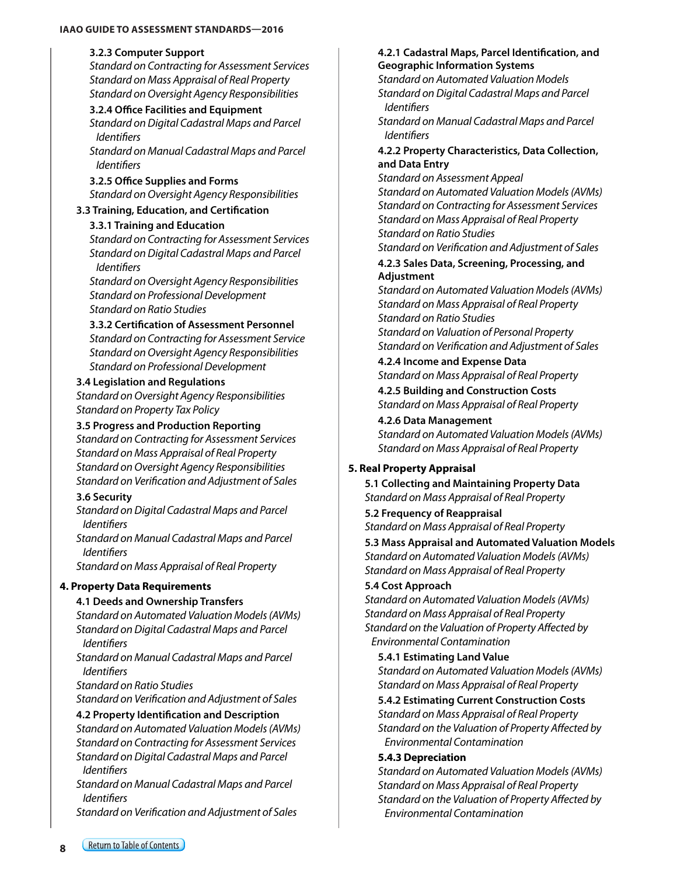#### <span id="page-7-0"></span>**IAAO GUIDE TO ASSESSMENT STANDARDS—2016**

#### **3.2.3 Computer Support**

*Standard on Contracting for Assessment Services Standard on Mass Appraisal of Real Property Standard on Oversight Agency Responsibilities*

#### **3.2.4 Office Facilities and Equipment**

*Standard on Digital Cadastral Maps and Parcel Identifiers*

*Standard on Manual Cadastral Maps and Parcel Identifiers*

#### **3.2.5 Office Supplies and Forms**  *Standard on Oversight Agency Responsibilities*

#### **3.3 Training, Education, and Certification**

#### **3.3.1 Training and Education**

*Standard on Contracting for Assessment Services Standard on Digital Cadastral Maps and Parcel Identifiers*

*Standard on Oversight Agency Responsibilities Standard on Professional Development Standard on Ratio Studies*

#### **3.3.2 Certification of Assessment Personnel**

*Standard on Contracting for Assessment Service Standard on Oversight Agency Responsibilities Standard on Professional Development*

#### **3.4 Legislation and Regulations**

*Standard on Oversight Agency Responsibilities Standard on Property Tax Policy*

#### **3.5 Progress and Production Reporting**

*Standard on Contracting for Assessment Services Standard on Mass Appraisal of Real Property Standard on Oversight Agency Responsibilities Standard on Verification and Adjustment of Sales*

#### **3.6 Security**

*Standard on Digital Cadastral Maps and Parcel Identifiers*

*Standard on Manual Cadastral Maps and Parcel Identifiers*

*Standard on Mass Appraisal of Real Property*

#### **4. Property Data Requirements**

#### **4.1 Deeds and Ownership Transfers**

*Standard on Automated Valuation Models (AVMs) Standard on Digital Cadastral Maps and Parcel Identifiers*

*Standard on Manual Cadastral Maps and Parcel Identifiers*

*Standard on Ratio Studies*

*Standard on Verification and Adjustment of Sales*

#### **4.2 Property Identification and Description**

*Standard on Automated Valuation Models (AVMs) Standard on Contracting for Assessment Services Standard on Digital Cadastral Maps and Parcel Identifiers*

*Standard on Manual Cadastral Maps and Parcel Identifiers*

*Standard on Verification and Adjustment of Sales*

#### **4.2.1 Cadastral Maps, Parcel Identification, and Geographic Information Systems**

*Standard on Automated Valuation Models Standard on Digital Cadastral Maps and Parcel Identifiers*

*Standard on Manual Cadastral Maps and Parcel Identifiers*

#### **4.2.2 Property Characteristics, Data Collection, and Data Entry**

*Standard on Assessment Appeal Standard on Automated Valuation Models (AVMs) Standard on Contracting for Assessment Services Standard on Mass Appraisal of Real Property Standard on Ratio Studies Standard on Verification and Adjustment of Sales*

#### **4.2.3 Sales Data, Screening, Processing, and Adjustment**

*Standard on Automated Valuation Models (AVMs) Standard on Mass Appraisal of Real Property Standard on Ratio Studies*

*Standard on Valuation of Personal Property Standard on Verification and Adjustment of Sales* 

#### **4.2.4 Income and Expense Data** *Standard on Mass Appraisal of Real Property*

**4.2.5 Building and Construction Costs** *Standard on Mass Appraisal of Real Property*

**4.2.6 Data Management** *Standard on Automated Valuation Models (AVMs) Standard on Mass Appraisal of Real Property*

#### **5. Real Property Appraisal**

**5.1 Collecting and Maintaining Property Data** *Standard on Mass Appraisal of Real Property*

**5.2 Frequency of Reappraisal** *Standard on Mass Appraisal of Real Property*

**5.3 Mass Appraisal and Automated Valuation Models** *Standard on Automated Valuation Models (AVMs) Standard on Mass Appraisal of Real Property*

#### **5.4 Cost Approach**

*Standard on Automated Valuation Models (AVMs) Standard on Mass Appraisal of Real Property Standard on the Valuation of Property Affected by Environmental Contamination*

**5.4.1 Estimating Land Value** *Standard on Automated Valuation Models (AVMs) Standard on Mass Appraisal of Real Property*

**5.4.2 Estimating Current Construction Costs** *Standard on Mass Appraisal of Real Property Standard on the Valuation of Property Affected by Environmental Contamination*

#### **5.4.3 Depreciation**

*Standard on Automated Valuation Models (AVMs) Standard on Mass Appraisal of Real Property Standard on the Valuation of Property Affected by Environmental Contamination*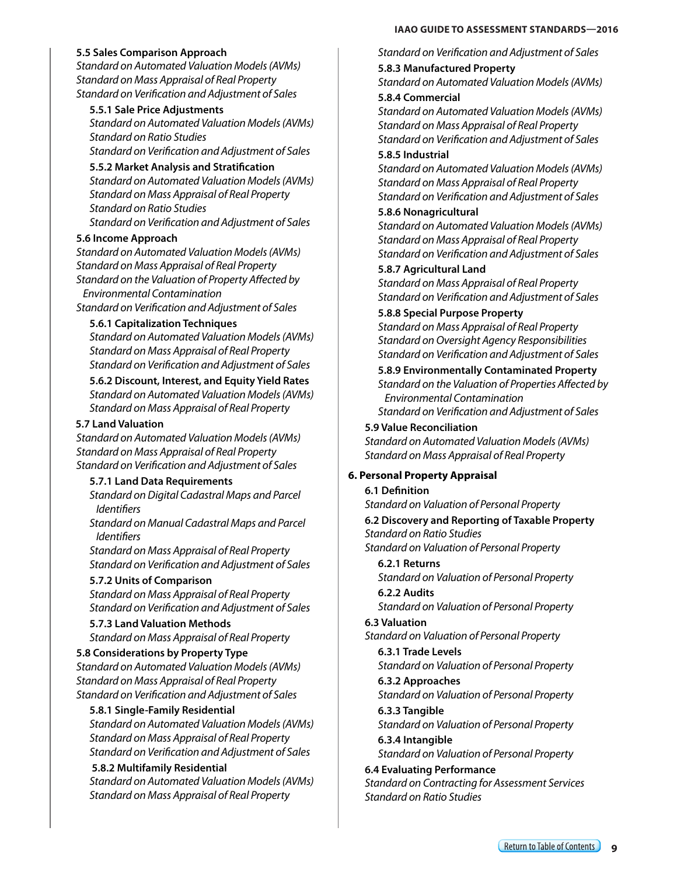#### <span id="page-8-0"></span>**5.5 Sales Comparison Approach**

*Standard on Automated Valuation Models (AVMs) Standard on Mass Appraisal of Real Property Standard on Verification and Adjustment of Sales*

#### **5.5.1 Sale Price Adjustments**

*Standard on Automated Valuation Models (AVMs) Standard on Ratio Studies Standard on Verification and Adjustment of Sales*

**5.5.2 Market Analysis and Stratification**

*Standard on Automated Valuation Models (AVMs) Standard on Mass Appraisal of Real Property Standard on Ratio Studies Standard on Verification and Adjustment of Sales*

#### **5.6 Income Approach**

*Standard on Automated Valuation Models (AVMs) Standard on Mass Appraisal of Real Property Standard on the Valuation of Property Affected by Environmental Contamination* 

*Standard on Verification and Adjustment of Sales* 

#### **5.6.1 Capitalization Techniques**

*Standard on Automated Valuation Models (AVMs) Standard on Mass Appraisal of Real Property Standard on Verification and Adjustment of Sales*

**5.6.2 Discount, Interest, and Equity Yield Rates** *Standard on Automated Valuation Models (AVMs) Standard on Mass Appraisal of Real Property*

#### **5.7 Land Valuation**

*Standard on Automated Valuation Models (AVMs) Standard on Mass Appraisal of Real Property Standard on Verification and Adjustment of Sales*

#### **5.7.1 Land Data Requirements**

*Standard on Digital Cadastral Maps and Parcel Identifiers*

*Standard on Manual Cadastral Maps and Parcel Identifiers*

*Standard on Mass Appraisal of Real Property Standard on Verification and Adjustment of Sales*

#### **5.7.2 Units of Comparison**

*Standard on Mass Appraisal of Real Property Standard on Verification and Adjustment of Sales*

**5.7.3 Land Valuation Methods** *Standard on Mass Appraisal of Real Property*

#### **5.8 Considerations by Property Type**

*Standard on Automated Valuation Models (AVMs) Standard on Mass Appraisal of Real Property Standard on Verification and Adjustment of Sales*

#### **5.8.1 Single-Family Residential**

*Standard on Automated Valuation Models (AVMs) Standard on Mass Appraisal of Real Property Standard on Verification and Adjustment of Sales*

#### **5.8.2 Multifamily Residential**

*Standard on Automated Valuation Models (AVMs) Standard on Mass Appraisal of Real Property*

*Standard on Verification and Adjustment of Sales*

**5.8.3 Manufactured Property**

*Standard on Automated Valuation Models (AVMs)*  **5.8.4 Commercial**

*Standard on Automated Valuation Models (AVMs) Standard on Mass Appraisal of Real Property Standard on Verification and Adjustment of Sales* **5.8.5 Industrial**

## *Standard on Automated Valuation Models (AVMs)*

*Standard on Mass Appraisal of Real Property Standard on Verification and Adjustment of Sales*

#### **5.8.6 Nonagricultural**

*Standard on Automated Valuation Models (AVMs) Standard on Mass Appraisal of Real Property Standard on Verification and Adjustment of Sales*

#### **5.8.7 Agricultural Land**

*Standard on Mass Appraisal of Real Property Standard on Verification and Adjustment of Sales*

#### **5.8.8 Special Purpose Property**

*Standard on Mass Appraisal of Real Property Standard on Oversight Agency Responsibilities Standard on Verification and Adjustment of Sales*

#### **5.8.9 Environmentally Contaminated Property**

*Standard on the Valuation of Properties Affected by Environmental Contamination Standard on Verification and Adjustment of Sales*

# **5.9 Value Reconciliation**

*Standard on Automated Valuation Models (AVMs) Standard on Mass Appraisal of Real Property*

#### **6. Personal Property Appraisal**

#### **6.1 Definition**

*Standard on Valuation of Personal Property*

**6.2 Discovery and Reporting of Taxable Property** *Standard on Ratio Studies Standard on Valuation of Personal Property*

### **6.2.1 Returns**

*Standard on Valuation of Personal Property*

### **6.2.2 Audits**

*Standard on Valuation of Personal Property*

#### **6.3 Valuation**

*Standard on Valuation of Personal Property*

**6.3.1 Trade Levels** *Standard on Valuation of Personal Property*

# **6.3.2 Approaches**

*Standard on Valuation of Personal Property* **6.3.3 Tangible**

# *Standard on Valuation of Personal Property*

**6.3.4 Intangible** *Standard on Valuation of Personal Property*

#### **6.4 Evaluating Performance** *Standard on Contracting for Assessment Services Standard on Ratio Studies*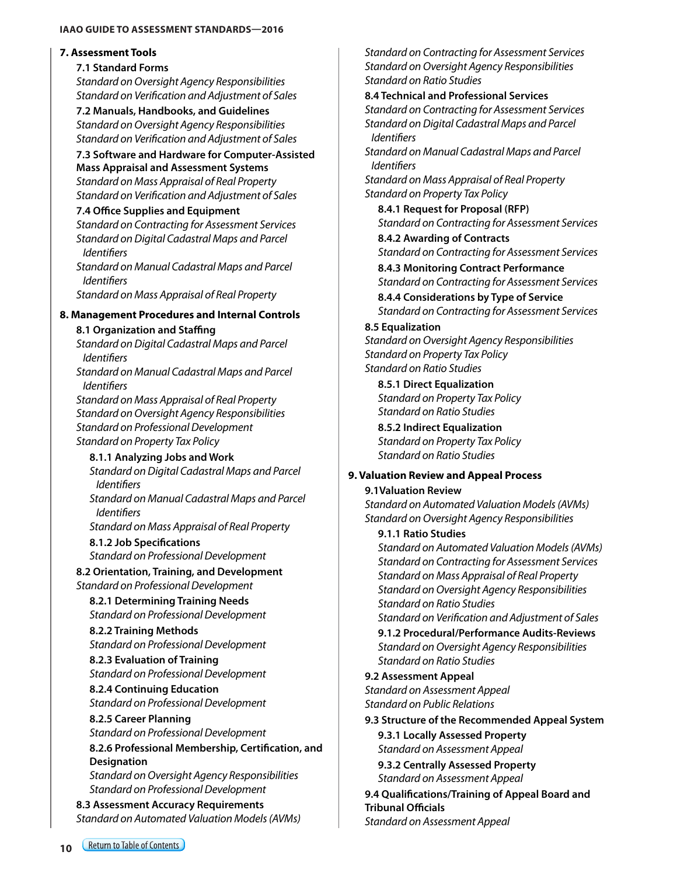#### <span id="page-9-0"></span>**IAAO GUIDE TO ASSESSMENT STANDARDS—2016**

#### **7. Assessment Tools**

#### **7.1 Standard Forms**

*Standard on Oversight Agency Responsibilities Standard on Verification and Adjustment of Sales*

**7.2 Manuals, Handbooks, and Guidelines** *Standard on Oversight Agency Responsibilities Standard on Verification and Adjustment of Sales*

#### **7.3 Software and Hardware for Computer-Assisted Mass Appraisal and Assessment Systems** *Standard on Mass Appraisal of Real Property Standard on Verification and Adjustment of Sales*

#### **7.4 Office Supplies and Equipment**

*Standard on Contracting for Assessment Services Standard on Digital Cadastral Maps and Parcel Identifiers*

*Standard on Manual Cadastral Maps and Parcel Identifiers*

*Standard on Mass Appraisal of Real Property*

#### **8. Management Procedures and Internal Controls**

#### **8.1 Organization and Staffing**

*Standard on Digital Cadastral Maps and Parcel Identifiers*

*Standard on Manual Cadastral Maps and Parcel Identifiers*

*Standard on Mass Appraisal of Real Property Standard on Oversight Agency Responsibilities Standard on Professional Development Standard on Property Tax Policy*

# **8.1.1 Analyzing Jobs and Work**

*Standard on Digital Cadastral Maps and Parcel Identifiers*

*Standard on Manual Cadastral Maps and Parcel Identifiers*

*Standard on Mass Appraisal of Real Property*

**8.1.2 Job Specifications** *Standard on Professional Development*

**8.2 Orientation, Training, and Development** *Standard on Professional Development*

**8.2.1 Determining Training Needs** *Standard on Professional Development*

**8.2.2 Training Methods** *Standard on Professional Development*

**8.2.3 Evaluation of Training** *Standard on Professional Development*

**8.2.4 Continuing Education** *Standard on Professional Development*

#### **8.2.5 Career Planning** *Standard on Professional Development*

**8.2.6 Professional Membership, Certification, and Designation** *Standard on Oversight Agency Responsibilities Standard on Professional Development*

**8.3 Assessment Accuracy Requirements** *Standard on Automated Valuation Models (AVMs)* *Standard on Contracting for Assessment Services Standard on Oversight Agency Responsibilities Standard on Ratio Studies*

#### **8.4 Technical and Professional Services**

*Standard on Contracting for Assessment Services Standard on Digital Cadastral Maps and Parcel Identifiers*

*Standard on Manual Cadastral Maps and Parcel Identifiers*

*Standard on Mass Appraisal of Real Property Standard on Property Tax Policy*

**8.4.1 Request for Proposal (RFP)** *Standard on Contracting for Assessment Services*

**8.4.2 Awarding of Contracts** *Standard on Contracting for Assessment Services* **8.4.3 Monitoring Contract Performance**

*Standard on Contracting for Assessment Services*

**8.4.4 Considerations by Type of Service** *Standard on Contracting for Assessment Services*

#### **8.5 Equalization**

*Standard on Oversight Agency Responsibilities Standard on Property Tax Policy Standard on Ratio Studies*

**8.5.1 Direct Equalization** *Standard on Property Tax Policy Standard on Ratio Studies*

**8.5.2 Indirect Equalization** *Standard on Property Tax Policy Standard on Ratio Studies*

#### **9. Valuation Review and Appeal Process**

#### **9.1Valuation Review**

*Standard on Automated Valuation Models (AVMs) Standard on Oversight Agency Responsibilities*

#### **9.1.1 Ratio Studies**

*Standard on Automated Valuation Models (AVMs) Standard on Contracting for Assessment Services Standard on Mass Appraisal of Real Property Standard on Oversight Agency Responsibilities Standard on Ratio Studies*

*Standard on Verification and Adjustment of Sales*

**9.1.2 Procedural/Performance Audits-Reviews** *Standard on Oversight Agency Responsibilities Standard on Ratio Studies*

#### **9.2 Assessment Appeal**

*Standard on Assessment Appeal Standard on Public Relations*

#### **9.3 Structure of the Recommended Appeal System**

**9.3.1 Locally Assessed Property** *Standard on Assessment Appeal* **9.3.2 Centrally Assessed Property**

*Standard on Assessment Appeal*

**9.4 Qualifications/Training of Appeal Board and Tribunal Officials** *Standard on Assessment Appeal*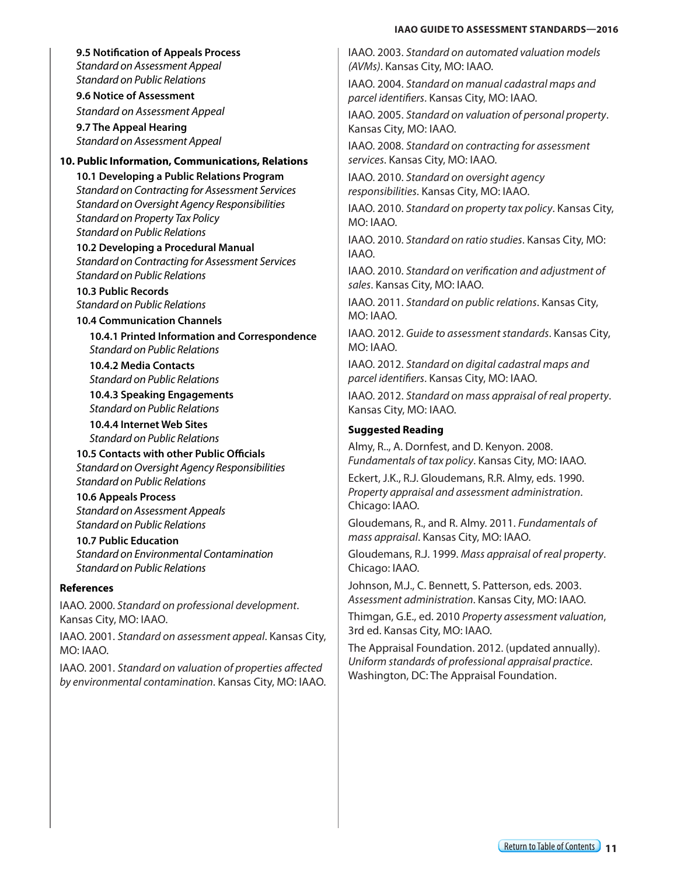#### **IAAO GUIDE TO ASSESSMENT STANDARDS—2016**

#### <span id="page-10-0"></span>**9.5 Notification of Appeals Process**

*Standard on Assessment Appeal Standard on Public Relations*

**9.6 Notice of Assessment**

*Standard on Assessment Appeal*

**9.7 The Appeal Hearing** *Standard on Assessment Appeal*

#### **10. Public Information, Communications, Relations**

**10.1 Developing a Public Relations Program** *Standard on Contracting for Assessment Services Standard on Oversight Agency Responsibilities Standard on Property Tax Policy Standard on Public Relations*

**10.2 Developing a Procedural Manual** *Standard on Contracting for Assessment Services Standard on Public Relations* 

**10.3 Public Records** *Standard on Public Relations*

#### **10.4 Communication Channels**

**10.4.1 Printed Information and Correspondence** *Standard on Public Relations*

**10.4.2 Media Contacts** *Standard on Public Relations*

**10.4.3 Speaking Engagements** *Standard on Public Relations*

**10.4.4 Internet Web Sites** *Standard on Public Relations*

**10.5 Contacts with other Public Officials** *Standard on Oversight Agency Responsibilities Standard on Public Relations*

**10.6 Appeals Process** *Standard on Assessment Appeals Standard on Public Relations*

#### **10.7 Public Education** *Standard on Environmental Contamination Standard on Public Relations*

#### **References**

IAAO. 2000. *Standard on professional development*. Kansas City, MO: IAAO.

IAAO. 2001. *Standard on assessment appeal*. Kansas City, MO: IAAO.

IAAO. 2001. *Standard on valuation of properties affected by environmental contamination*. Kansas City, MO: IAAO. IAAO. 2003. *Standard on automated valuation models (AVMs)*. Kansas City, MO: IAAO.

IAAO. 2004. *Standard on manual cadastral maps and parcel identifiers*. Kansas City, MO: IAAO.

IAAO. 2005. *Standard on valuation of personal property*. Kansas City, MO: IAAO.

IAAO. 2008. *Standard on contracting for assessment services*. Kansas City, MO: IAAO.

IAAO. 2010. *Standard on oversight agency responsibilities*. Kansas City, MO: IAAO.

IAAO. 2010. *Standard on property tax policy*. Kansas City, MO: IAAO.

IAAO. 2010. *Standard on ratio studies*. Kansas City, MO: IAAO.

IAAO. 2010. *Standard on verification and adjustment of sales*. Kansas City, MO: IAAO.

IAAO. 2011. *Standard on public relations*. Kansas City, MO: IAAO.

IAAO. 2012. *Guide to assessment standards*. Kansas City, MO: IAAO.

IAAO. 2012. *Standard on digital cadastral maps and parcel identifiers*. Kansas City, MO: IAAO.

IAAO. 2012. *Standard on mass appraisal of real property*. Kansas City, MO: IAAO.

#### **Suggested Reading**

Almy, R.., A. Dornfest, and D. Kenyon. 2008. *Fundamentals of tax policy*. Kansas City, MO: IAAO.

Eckert, J.K., R.J. Gloudemans, R.R. Almy, eds. 1990. *Property appraisal and assessment administration*. Chicago: IAAO.

Gloudemans, R., and R. Almy. 2011. *Fundamentals of mass appraisal*. Kansas City, MO: IAAO.

Gloudemans, R.J. 1999. *Mass appraisal of real property*. Chicago: IAAO.

Johnson, M.J., C. Bennett, S. Patterson, eds. 2003. *Assessment administration*. Kansas City, MO: IAAO.

Thimgan, G.E., ed. 2010 *Property assessment valuation*, 3rd ed. Kansas City, MO: IAAO.

The Appraisal Foundation. 2012. (updated annually). *Uniform standards of professional appraisal practice*. Washington, DC: The Appraisal Foundation.